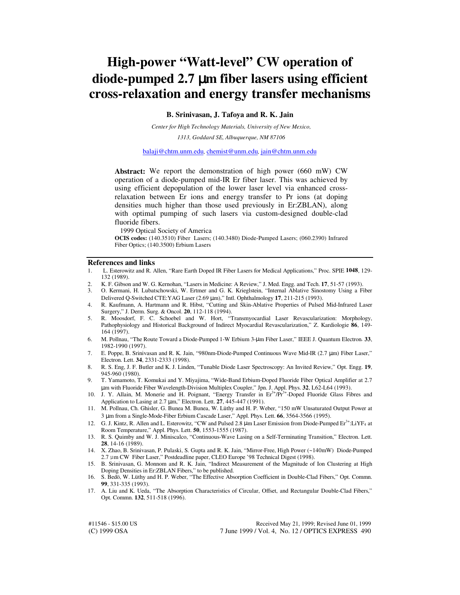## **High-power "Watt-level" CW operation of diode-pumped 2.7** µ**m fiber lasers using efficient cross-relaxation and energy transfer mechanisms**

**B. Srinivasan, J. Tafoya and R. K. Jain**

*Center for High Technology Materials, University of New Mexico,*

*1313, Goddard SE, Albuquerque, NM 87106*

balaji@chtm.unm.edu*,* chemist@unm.edu*,* jain@chtm.unm.edu

**Abstract:** We report the demonstration of high power (660 mW) CW operation of a diode-pumped mid-IR Er fiber laser. This was achieved by using efficient depopulation of the lower laser level via enhanced crossrelaxation between Er ions and energy transfer to Pr ions (at doping densities much higher than those used previously in Er:ZBLAN), along with optimal pumping of such lasers via custom-designed double-clad fluoride fibers.

1999 Optical Society of America

**OCIS codes:** (140.3510) Fiber Lasers; (140.3480) Diode-Pumped Lasers; (060.2390) Infrared Fiber Optics; (140.3500) Erbium Lasers

## **References and links**

- 1. L. Esterowitz and R. Allen, "Rare Earth Doped IR Fiber Lasers for Medical Applications," Proc. SPIE **1048**, 129- 132 (1989).
- 2. K. F. Gibson and W. G. Kernohan, "Lasers in Medicine: A Review," J. Med. Engg. and Tech. **17**, 51-57 (1993).
- 3. O. Kermani, H. Lubatschowski, W. Ertmer and G. K. Krieglstein, "Internal Ablative Sinostomy Using a Fiber Delivered Q-Switched CTE:YAG Laser (2.69 µm)," Intl. Ophthalmology **17**, 211-215 (1993).
- 4. R. Kaufmann, A. Hartmann and R. Hibst, "Cutting and Skin-Ablative Properties of Pulsed Mid-Infrared Laser Surgery," J. Derm. Surg. & Oncol. **20**, 112-118 (1994).
- 5. R. Moosdorf, F. C. Schoebel and W. Hort, "Transmyocardial Laser Revascularization: Morphology, Pathophysiology and Historical Background of Indirect Myocardial Revascularization," Z. Kardiologie **86**, 149- 164 (1997).
- 6. M. Pollnau, "The Route Toward a Diode-Pumped 1-W Erbium 3-µm Fiber Laser," IEEE J. Quantum Electron*.* **33**, 1982-1990 (1997).
- 7. E. Poppe, B. Srinivasan and R. K. Jain, "980nm-Diode-Pumped Continuous Wave Mid-IR (2.7 µm) Fiber Laser," Electron. Lett. **34**, 2331-2333 (1998).
- 8. R. S. Eng, J. F. Butler and K. J. Linden, "Tunable Diode Laser Spectroscopy: An Invited Review," Opt. Engg. **19**, 945-960 (1980).
- 9. T. Yamamoto, T. Komukai and Y. Miyajima, "Wide-Band Erbium-Doped Fluoride Fiber Optical Amplifier at 2.7 µm with Fluoride Fiber Wavelength-Division Multiplex Coupler," Jpn. J. Appl. Phys. **32**, L62-L64 (1993).
- 10. J. Y. Allain, M. Monerie and H. Poignant, "Energy Transfer in  $Er<sup>3+</sup>/Pr<sup>3+</sup>-Doped$  Fluoride Glass Fibres and Application to Lasing at 2.7 µm," Electron. Lett. **27**, 445-447 (1991).
- 11. M. Pollnau, Ch. Ghisler, G. Bunea M. Bunea, W. Lüthy and H. P. Weber, "150 mW Unsaturated Output Power at 3 µm from a Single-Mode-Fiber Erbium Cascade Laser," Appl. Phys. Lett. **66**, 3564-3566 (1995).
- 12. G. J. Kintz, R. Allen and L. Esterowitz, "CW and Pulsed 2.8  $\mu$ m Laser Emission from Diode-Pumped Er<sup>3+</sup>:LiYF<sub>4</sub> at Room Temperature," Appl. Phys. Lett. **50**, 1553-1555 (1987).
- 13. R. S. Quimby and W. J. Miniscalco, "Continuous-Wave Lasing on a Self-Terminating Transition," Electron. Lett. **28**, 14-16 (1989).
- 14. X. Zhao, B. Srinivasan, P. Pulaski, S. Gupta and R. K. Jain, "Mirror-Free, High Power (~140mW) Diode-Pumped 2.7 µm CW Fiber Laser," Postdeadline paper, CLEO Europe '98 Technical Digest (1998).
- 15. B. Srinivasan, G. Monnom and R. K. Jain, "Indirect Measurement of the Magnitude of Ion Clustering at High Doping Densities in Er:ZBLAN Fibers," to be published.
- 16. S. Bedö, W. Lüthy and H. P. Weber, "The Effective Absorption Coefficient in Double-Clad Fibers," Opt. Commn. **99**, 331-335 (1993).
- 17. A. Liu and K. Ueda, "The Absorption Characteristics of Circular, Offset, and Rectangular Double-Clad Fibers," Opt. Commn. **132**, 511-518 (1996).

(C) 1999 OSA 7 June 1999 / Vol. 4, No. 12 / OPTICS EXPRESS 490 #11546 - \$15.00 US Received May 21, 1999; Revised June 01, 1999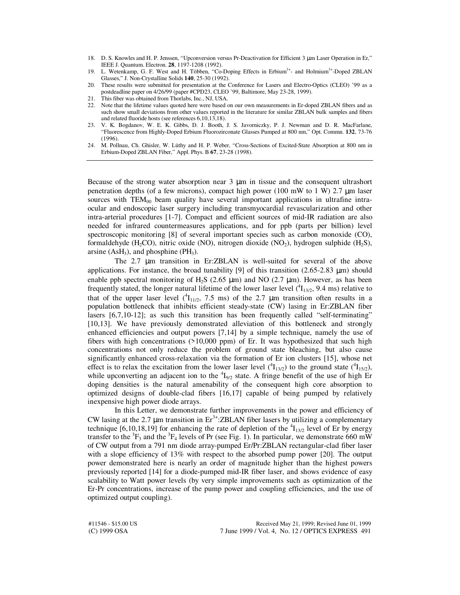- 18. D. S. Knowles and H. P. Jenssen, "Upconversion versus Pr-Deactivation for Efficient 3 µm Laser Operation in Er," IEEE J. Quantum. Electron. **28**, 1197-1208 (1992).
- 19. L. Wetenkamp, G. F. West and H. Többen, "Co-Doping Effects in Erbium<sup>3+</sup>- and Holmium<sup>3+</sup>-Doped ZBLAN Glasses," J. Non-Crystalline Solids **140**, 25-30 (1992).
- 20. These results were submitted for presentation at the Conference for Lasers and Electro-Optics (CLEO) '99 as a postdeadline paper on 4/26/99 (paper #CPD23, CLEO '99, Baltimore, May 23-28, 1999).
- 21. This fiber was obtained from Thorlabs, Inc., NJ, USA.
- 22. Note that the lifetime values quoted here were based on our own measurements in Er-doped ZBLAN fibers and as such show small deviations from other values reported in the literature for similar ZBLAN bulk samples and fibers and related fluoride hosts (see references 6,10,13,18).
- 23. V. K. Bogdanov, W. E. K. Gibbs, D. J. Booth, J. S. Javorniczky, P. J. Newman and D. R. MacFarlane, "Fluorescence from Highly-Doped Erbium Fluorozirconate Glasses Pumped at 800 nm," Opt. Commn. **132**, 73-76 (1996).
- 24. M. Pollnau, Ch. Ghisler, W. Lüthy and H. P. Weber, "Cross-Sections of Excited-State Absorption at 800 nm in Erbium-Doped ZBLAN Fiber," Appl. Phys. B **67**, 23-28 (1998).

Because of the strong water absorption near 3 µm in tissue and the consequent ultrashort penetration depths (of a few microns), compact high power (100 mW to 1 W) 2.7 µm laser sources with  $TEM_{00}$  beam quality have several important applications in ultrafine intraocular and endoscopic laser surgery including transmyocardial revascularization and other intra-arterial procedures [1-7]. Compact and efficient sources of mid-IR radiation are also needed for infrared countermeasures applications, and for ppb (parts per billion) level spectroscopic monitoring [8] of several important species such as carbon monoxide (CO), formaldehyde (H<sub>2</sub>CO), nitric oxide (NO), nitrogen dioxide (NO<sub>2</sub>), hydrogen sulphide (H<sub>2</sub>S), arsine  $(AsH<sub>3</sub>)$ , and phosphine (PH<sub>3</sub>).

The 2.7 µm transition in Er:ZBLAN is well-suited for several of the above applications. For instance, the broad tunability [9] of this transition  $(2.65-2.83 \text{ }\mu\text{m})$  should enable ppb spectral monitoring of H<sub>2</sub>S (2.65  $\mu$ m) and NO (2.7  $\mu$ m). However, as has been frequently stated, the longer natural lifetime of the lower laser level  $(^{4}I_{13/2}$ , 9.4 ms) relative to that of the upper laser level  $({}^{4}I_{11/2}, 7.5 \text{ ms})$  of the 2.7 µm transition often results in a population bottleneck that inhibits efficient steady-state (CW) lasing in Er:ZBLAN fiber lasers [6,7,10-12]; as such this transition has been frequently called "self-terminating" [10,13]. We have previously demonstrated alleviation of this bottleneck and strongly enhanced efficiencies and output powers [7,14] by a simple technique, namely the use of fibers with high concentrations (>10,000 ppm) of Er. It was hypothesized that such high concentrations not only reduce the problem of ground state bleaching, but also cause significantly enhanced cross-relaxation via the formation of Er ion clusters [15], whose net effect is to relax the excitation from the lower laser level  $(^4I_{13/2})$  to the ground state  $(^4I_{15/2})$ , while upconverting an adjacent ion to the  ${}^{4}I_{9/2}$  state. A fringe benefit of the use of high Er doping densities is the natural amenability of the consequent high core absorption to optimized designs of double-clad fibers [16,17] capable of being pumped by relatively inexpensive high power diode arrays.

In this Letter, we demonstrate further improvements in the power and efficiency of CW lasing at the 2.7  $\mu$ m transition in Er<sup>3+</sup>:ZBLAN fiber lasers by utilizing a complementary technique [6,10,18,19] for enhancing the rate of depletion of the  ${}^{4}I_{13/2}$  level of Er by energy transfer to the  ${}^{3}F_{3}$  and the  ${}^{3}F_{4}$  levels of Pr (see Fig. 1). In particular, we demonstrate 660 mW of CW output from a 791 nm diode array-pumped Er/Pr:ZBLAN rectangular-clad fiber laser with a slope efficiency of 13% with respect to the absorbed pump power [20]. The output power demonstrated here is nearly an order of magnitude higher than the highest powers previously reported [14] for a diode-pumped mid-IR fiber laser, and shows evidence of easy scalability to Watt power levels (by very simple improvements such as optimization of the Er-Pr concentrations, increase of the pump power and coupling efficiencies, and the use of optimized output coupling).

(C) 1999 OSA 7 June 1999 / Vol. 4, No. 12 / OPTICS EXPRESS 491 #11546 - \$15.00 US Received May 21, 1999; Revised June 01, 1999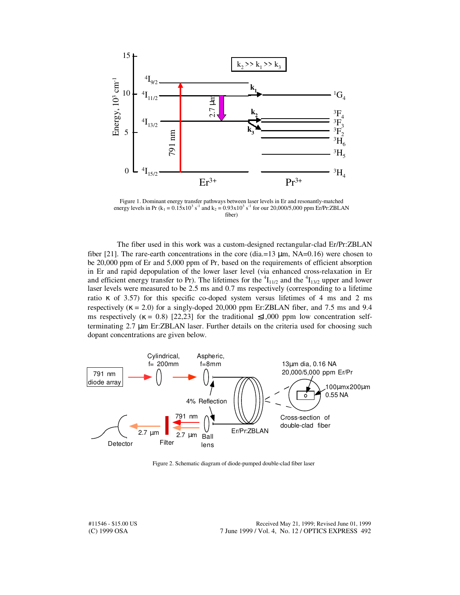

Figure 1. Dominant energy transfer pathways between laser levels in Er and resonantly-matched energy levels in Pr ( $k_1 = 0.15x10^3$  s<sup>-1</sup> and  $k_2 = 0.93x10^3$  s<sup>-1</sup> for our 20,000/5,000 ppm Er/Pr:ZBLAN fiber)

 The fiber used in this work was a custom-designed rectangular-clad Er/Pr:ZBLAN fiber [21]. The rare-earth concentrations in the core (dia.=13  $\mu$ m, NA=0.16) were chosen to be 20,000 ppm of Er and 5,000 ppm of Pr, based on the requirements of efficient absorption in Er and rapid depopulation of the lower laser level (via enhanced cross-relaxation in Er and efficient energy transfer to Pr). The lifetimes for the  ${}^{4}I_{11/2}$  and the  ${}^{4}I_{13/2}$  upper and lower laser levels were measured to be 2.5 ms and 0.7 ms respectively (corresponding to a lifetime ratio κ of 3.57) for this specific co-doped system versus lifetimes of 4 ms and 2 ms respectively ( $\kappa$  = 2.0) for a singly-doped 20,000 ppm Er:ZBLAN fiber, and 7.5 ms and 9.4 ms respectively ( $\kappa = 0.8$ ) [22,23] for the traditional  $\leq 1,000$  ppm low concentration selfterminating 2.7 µm Er:ZBLAN laser. Further details on the criteria used for choosing such dopant concentrations are given below.



Figure 2. Schematic diagram of diode-pumped double-clad fiber laser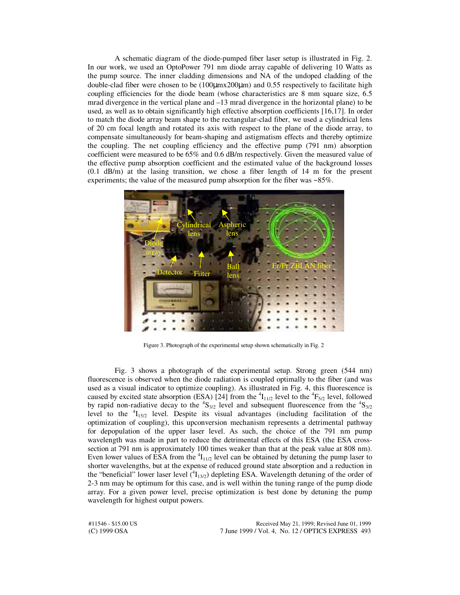A schematic diagram of the diode-pumped fiber laser setup is illustrated in Fig. 2. In our work, we used an OptoPower 791 nm diode array capable of delivering 10 Watts as the pump source. The inner cladding dimensions and NA of the undoped cladding of the double-clad fiber were chosen to be (100µmx200µm) and 0.55 respectively to facilitate high coupling efficiencies for the diode beam (whose characteristics are 8 mm square size, 6.5 mrad divergence in the vertical plane and  $-13$  mrad divergence in the horizontal plane) to be used, as well as to obtain significantly high effective absorption coefficients [16,17]. In order to match the diode array beam shape to the rectangular-clad fiber, we used a cylindrical lens of 20 cm focal length and rotated its axis with respect to the plane of the diode array, to compensate simultaneously for beam-shaping and astigmatism effects and thereby optimize the coupling. The net coupling efficiency and the effective pump (791 nm) absorption coefficient were measured to be 65% and 0.6 dB/m respectively. Given the measured value of the effective pump absorption coefficient and the estimated value of the background losses (0.1 dB/m) at the lasing transition, we chose a fiber length of 14 m for the present experiments; the value of the measured pump absorption for the fiber was ~85%.



Figure 3. Photograph of the experimental setup shown schematically in Fig. 2

Fig. 3 shows a photograph of the experimental setup. Strong green (544 nm) fluorescence is observed when the diode radiation is coupled optimally to the fiber (and was used as a visual indicator to optimize coupling). As illustrated in Fig. 4, this fluorescence is caused by excited state absorption (ESA) [24] from the  ${}^{4}I_{11/2}$  level to the  ${}^{4}F_{5/2}$  level, followed by rapid non-radiative decay to the  ${}^{4}S_{3/2}$  level and subsequent fluorescence from the  ${}^{4}S_{3/2}$ level to the  ${}^{4}I_{15/2}$  level. Despite its visual advantages (including facilitation of the optimization of coupling), this upconversion mechanism represents a detrimental pathway for depopulation of the upper laser level. As such, the choice of the 791 nm pump wavelength was made in part to reduce the detrimental effects of this ESA (the ESA crosssection at 791 nm is approximately 100 times weaker than that at the peak value at 808 nm). Even lower values of ESA from the  ${}^{4}I_{11/2}$  level can be obtained by detuning the pump laser to shorter wavelengths, but at the expense of reduced ground state absorption and a reduction in the "beneficial" lower laser level  $({}^{4}I_{13/2})$  depleting ESA. Wavelength detuning of the order of 2-3 nm may be optimum for this case, and is well within the tuning range of the pump diode array. For a given power level, precise optimization is best done by detuning the pump wavelength for highest output powers.

(C) 1999 OSA 7 June 1999 / Vol. 4, No. 12 / OPTICS EXPRESS 493 #11546 - \$15.00 US Received May 21, 1999; Revised June 01, 1999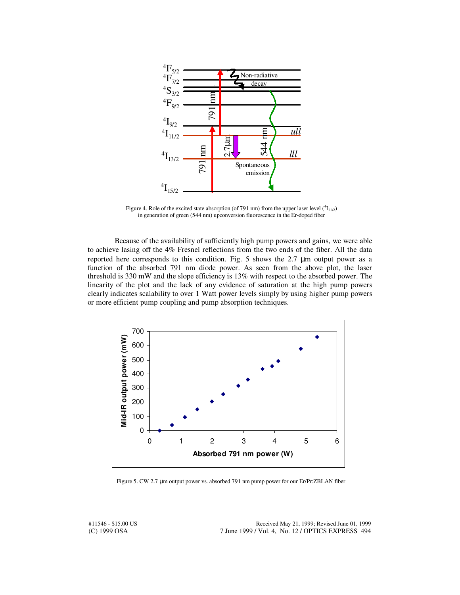

Figure 4. Role of the excited state absorption (of 791 nm) from the upper laser level  $(^{4}I_{11/2})$ in generation of green (544 nm) upconversion fluorescence in the Er-doped fiber

Because of the availability of sufficiently high pump powers and gains, we were able to achieve lasing off the 4% Fresnel reflections from the two ends of the fiber. All the data reported here corresponds to this condition. Fig. 5 shows the  $2.7 \mu m$  output power as a function of the absorbed 791 nm diode power. As seen from the above plot, the laser threshold is 330 mW and the slope efficiency is 13% with respect to the absorbed power. The linearity of the plot and the lack of any evidence of saturation at the high pump powers clearly indicates scalability to over 1 Watt power levels simply by using higher pump powers or more efficient pump coupling and pump absorption techniques.